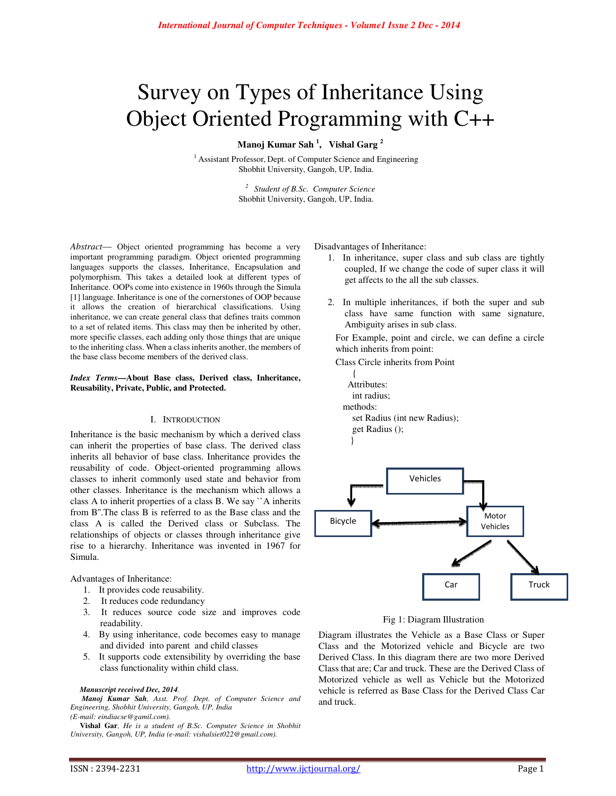# Survey on Types of Inheritance Using Object Oriented Programming with C++

**Manoj Kumar Sah <sup>1</sup> , Vishal Garg <sup>2</sup>**

 $<sup>1</sup>$  Assistant Professor, Dept. of Computer Science and Engineering</sup> Shobhit University, Gangoh, UP, India.

> *<sup>2</sup>Student of B.Sc. Computer Science*  Shobhit University, Gangoh, UP, India.

*Abstract*— Object oriented programming has become a very important programming paradigm. Object oriented programming languages supports the classes, Inheritance, Encapsulation and polymorphism. This takes a detailed look at different types of Inheritance. OOPs come into existence in 1960s through the Simula [1] language. Inheritance is one of the cornerstones of OOP because it allows the creation of hierarchical classifications. Using inheritance, we can create general class that defines traits common to a set of related items. This class may then be inherited by other, more specific classes, each adding only those things that are unique to the inheriting class. When a class inherits another, the members of the base class become members of the derived class.

#### *Index Terms***—About Base class, Derived class, Inheritance, Reusability, Private, Public, and Protected.**

## I. INTRODUCTION

Inheritance is the basic mechanism by which a derived class can inherit the properties of base class. The derived class inherits all behavior of base class. Inheritance provides the reusability of code. Object-oriented programming allows classes to inherit commonly used state and behavior from other classes. Inheritance is the mechanism which allows a class A to inherit properties of a class B. We say ``A inherits from B''.The class B is referred to as the Base class and the class A is called the Derived class or Subclass. The relationships of objects or classes through inheritance give rise to a hierarchy. Inheritance was invented in 1967 for Simula.

Advantages of Inheritance:

- 1. It provides code reusability.
- 2. It reduces code redundancy
- 3. It reduces source code size and improves code readability.
- 4. By using inheritance, code becomes easy to manage and divided into parent and child classes
- 5. It supports code extensibility by overriding the base class functionality within child class.

#### *Manuscript received Dec, 2014.*

*Manoj Kumar Sah, Asst. Prof. Dept. of Computer Science and Engineering, Shobhit University, Gangoh, UP, India (E-mail: eindiacse@gamil.com).* 

**Vishal Gar***, He is a student of B.Sc. Computer Science in Shobhit University, Gangoh, UP, India (e-mail: vishalsiet022@gmail.com).* 

Disadvantages of Inheritance:

- 1. In inheritance, super class and sub class are tightly coupled, If we change the code of super class it will get affects to the all the sub classes.
- 2. In multiple inheritances, if both the super and sub class have same function with same signature, Ambiguity arises in sub class.

For Example, point and circle, we can define a circle which inherits from point:

Class Circle inherits from Point

 $\left\{\begin{array}{c} \end{array}\right\}$  Attributes: int radius; methods: set Radius (int new Radius); get Radius (); }



Fig 1: Diagram Illustration

Diagram illustrates the Vehicle as a Base Class or Super Class and the Motorized vehicle and Bicycle are two Derived Class. In this diagram there are two more Derived Class that are; Car and truck. These are the Derived Class of Motorized vehicle as well as Vehicle but the Motorized vehicle is referred as Base Class for the Derived Class Car and truck.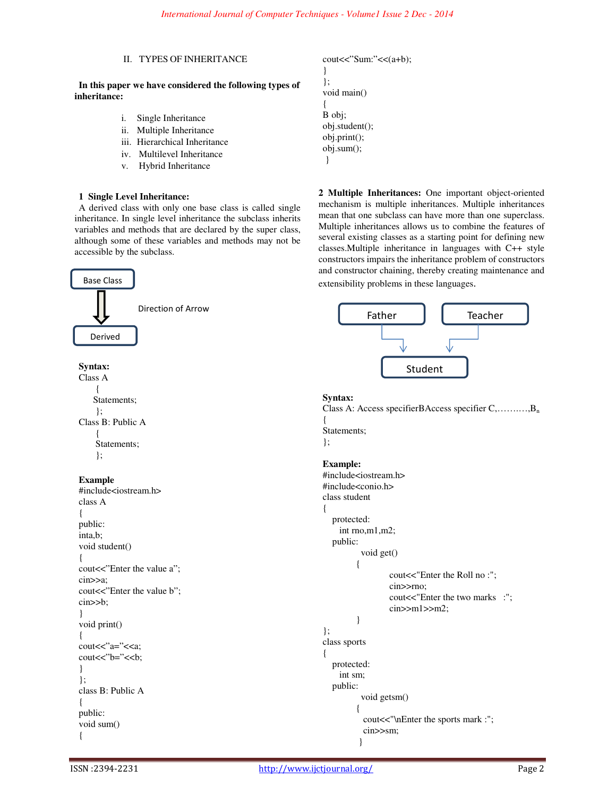**2 Multiple Inheritances:** One important object-oriented mechanism is multiple inheritances. Multiple inheritances mean that one subclass can have more than one superclass. Multiple inheritances allows us to combine the features of several existing classes as a starting point for defining new classes.Multiple inheritance in languages with C++ style

```
II. TYPES OF INHERITANCE 
 In this paper we have considered the following types of 
inheritance: 
            i. Single Inheritance 
            ii. Multiple Inheritance 
            iii. Hierarchical Inheritance 
            iv. Multilevel Inheritance 
            v. Hybrid Inheritance 
                                                                  cout<<"Sum:"<<(a+b); 
                                                                  } 
                                                                  }; 
                                                                  void main() 
                                                                  { 
                                                                  B obj; 
                                                                  obj.student(); 
                                                                  obj.print(); 
                                                                  obj.sum(); 
                                                                    }
```
## **1 Single Level Inheritance:**

A derived class with only one base class is called single inheritance. In single level inheritance the subclass inherits variables and methods that are declared by the super class, although some of these variables and methods may not be accessible by the subclass.

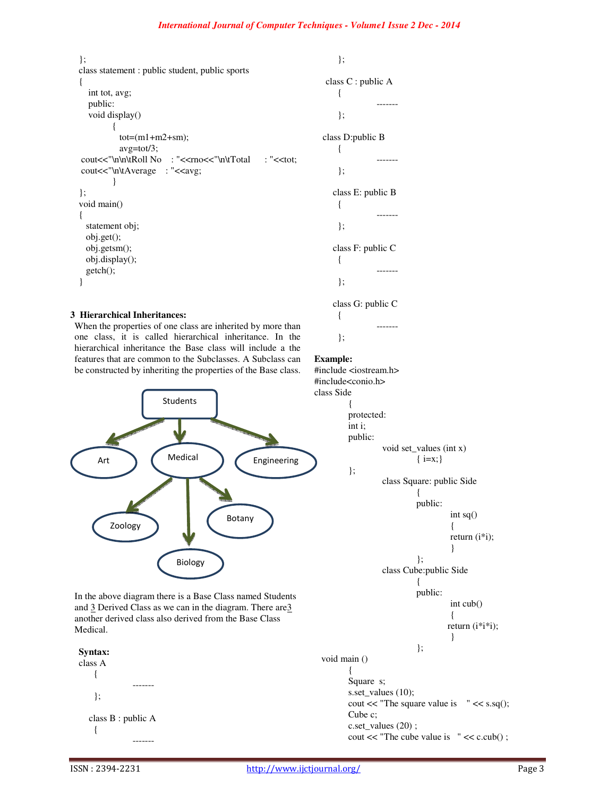```
}; 
class statement : public student, public sports 
{ 
   int tot, avg; 
   public: 
   void display() 
          { 
           tot=(m1+m2+sm); avg=tot/3; 
cout<<"\n\n\tRoll No : "<<rno<<"\n\tTotal : "<<tot;
cout<<"\n\tAverage : "<<avg;
          } 
}; 
void main() 
{ 
  statement obj; 
   obj.get(); 
   obj.getsm(); 
   obj.display(); 
   getch(); 
}
```
# **3 Hierarchical Inheritances:**

When the properties of one class are inherited by more than one class, it is called hierarchical inheritance. In the hierarchical inheritance the Base class will include a the features that are common to the Subclasses. A Subclass can be constructed by inheriting the properties of the Base class.



In the above diagram there is a Base Class named Students and 3 Derived Class as we can in the diagram. There are3 another derived class also derived from the Base Class Medical.



};

```
 class C : public A 
       { 
  ------- 
       }; 
  class D:public B 
       { 
  ------- 
       }; 
      class E: public B 
       { 
  ------- 
       }; 
      class F: public C 
       { 
  ------- 
       }; 
      class G: public C 
       { 
  ------- 
       }; 
Example: 
#include <iostream.h> 
#include<conio.h> 
class Side 
         { 
         protected: 
         int i; 
         public: 
                  void set_values (int x) 
                           \{i=x;\}}; 
                  class Square: public Side 
                           { 
                           public: 
                                    int sq() 
                                    return (i*i); 
                           }; 
                  class Cube:public Side 
                           { 
                           public: 
                                    int cub() 
                                     return (i*i*i); 
                           };
```
 void main () { Square s; s.set\_values (10); cout  $<<$  "The square value is " $<<$  s.sq(); Cube c; c.set\_values (20) ; cout  $<<$  "The cube value is " $<<$  c.cub();

{

}

{

}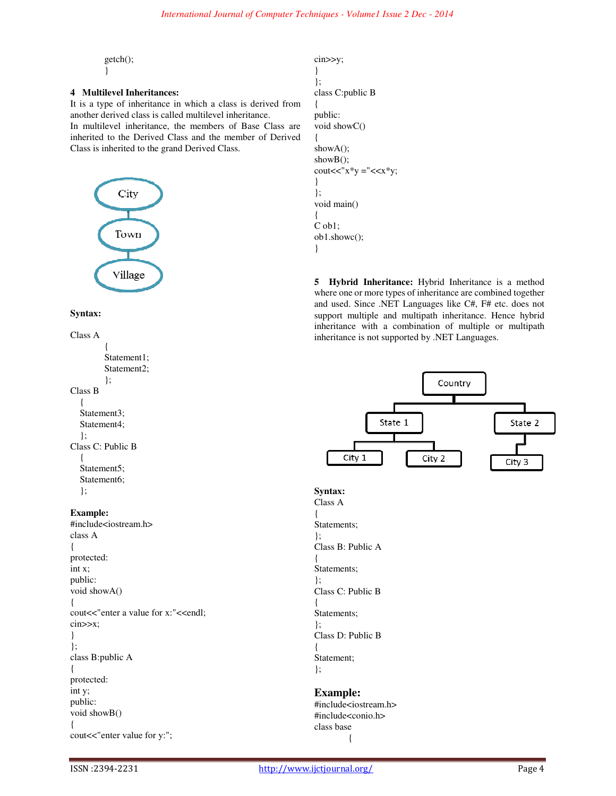getch(); }

# **4 Multilevel Inheritances:**

It is a type of inheritance in which a class is derived from another derived class is called multilevel inheritance. In multilevel inheritance, the members of Base Class are inherited to the Derived Class and the member of Derived Class is inherited to the grand Derived Class.



## **Syntax:**

```
Class A
```
{ Statement1; Statement2; };

### Class B

```
 { 
   Statement3; 
   Statement4; 
   }; 
Class C: Public B 
\{ Statement5; 
   Statement6; 
   };
```
# **Example:**

#include<iostream.h> class A { protected: int x; public: void showA() { cout<<"enter a value for x:"<<endl; cin>>x; } }; class B:public A { protected: int y; public: void showB() { cout<<"enter value for y:";

```
cin>>y; 
} 
}; 
class C:public B 
{ 
public: 
void showC() 
{ 
showA();
showB();
cout<<"x*y ="<<x*y;
} 
}; 
void main() 
{ 
C ob1; 
ob1.showc(); 
}
```
**5 Hybrid Inheritance:** Hybrid Inheritance is a method where one or more types of inheritance are combined together and used. Since .NET Languages like C#, F# etc. does not support multiple and multipath inheritance. Hence hybrid inheritance with a combination of multiple or multipath inheritance is not supported by .NET Languages.

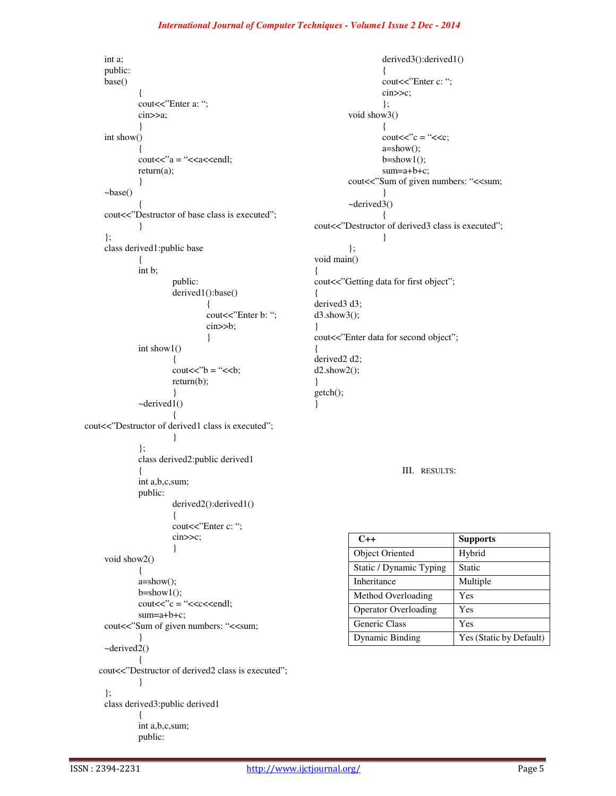# *International Journal of Computer Techniques - Volume1 Issue 2 Dec - 2014*

int a; public: base() { cout<<"Enter a: "; cin>>a; } int show() {  $\text{cout}<;$ return(a); } ~base() { cout<<"Destructor of base class is executed"; } }; class derived1:public base { int b; public: derived1():base() { cout<<"Enter b: "; cin>>b; } int show1() {  $\text{cout} \ll \text{'b} = \text{``$ return(b); } ~derived1() { cout<<"Destructor of derived1 class is executed"; } }; class derived2:public derived1 { int a,b,c,sum; public: derived2():derived1() { cout<<"Enter c: "; cin>>c; } void show2() { a=show();  $b = show1()$ ;  $\text{cout}<:$ sum=a+b+c; cout<<"Sum of given numbers: "<<sum; } ~derived2() { cout<<"Destructor of derived2 class is executed"; } }; class derived3:public derived1 { int a,b,c,sum; public: { { } { } }

derived3():derived1() { cout<<"Enter c: "; cin>>c; }; void show3() {  $\text{cout}<;  $\text{c} = \text{``}<;$$ a=show();  $b=show1()$ ; sum=a+b+c; cout<<"Sum of given numbers: "<<sum; } ~derived3() { cout<<"Destructor of derived3 class is executed"; } }; void main() cout<<"Getting data for first object"; derived3 d3; d3.show3(); cout<<"Enter data for second object"; derived2 d2; d2.show2(); getch();

III. RESULTS:

| $C++$                       | <b>Supports</b>         |  |
|-----------------------------|-------------------------|--|
| <b>Object Oriented</b>      | Hybrid                  |  |
| Static / Dynamic Typing     | Static                  |  |
| Inheritance                 | Multiple                |  |
| Method Overloading          | Yes                     |  |
| <b>Operator Overloading</b> | Yes                     |  |
| <b>Generic Class</b>        | Yes                     |  |
| <b>Dynamic Binding</b>      | Yes (Static by Default) |  |